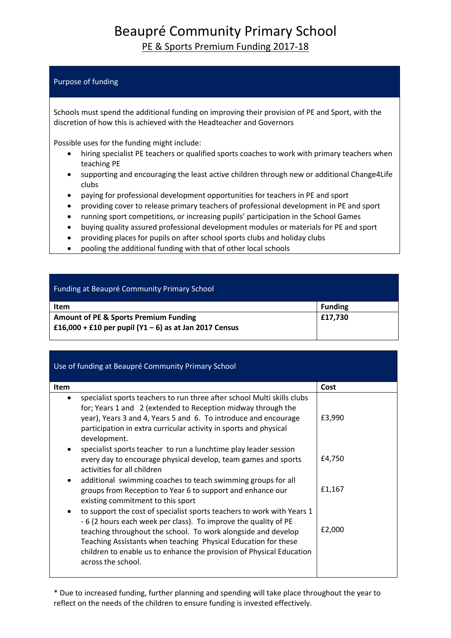## Beaupré Community Primary School PE & Sports Premium Funding 2017-18

## Purpose of funding

Schools must spend the additional funding on improving their provision of PE and Sport, with the discretion of how this is achieved with the Headteacher and Governors

Possible uses for the funding might include:

- hiring specialist PE teachers or qualified sports coaches to work with primary teachers when teaching PE
- supporting and encouraging the least active children through new or additional Change4Life clubs
- paying for professional development opportunities for teachers in PE and sport
- providing cover to release primary teachers of professional development in PE and sport
- running sport competitions, or increasing pupils' participation in the School Games
- buying quality assured professional development modules or materials for PE and sport
- providing places for pupils on after school sports clubs and holiday clubs
- pooling the additional funding with that of other local schools

| Funding at Beaupré Community Primary School                |                |
|------------------------------------------------------------|----------------|
| <b>Item</b>                                                | <b>Funding</b> |
| <b>Amount of PE &amp; Sports Premium Funding</b>           | £17,730        |
| £16,000 + £10 per pupil ( $Y1 - 6$ ) as at Jan 2017 Census |                |

| Use of funding at Beaupré Community Primary School                                                                                                                                                                                                                                                                                                                        |        |  |
|---------------------------------------------------------------------------------------------------------------------------------------------------------------------------------------------------------------------------------------------------------------------------------------------------------------------------------------------------------------------------|--------|--|
| <b>Item</b>                                                                                                                                                                                                                                                                                                                                                               | Cost   |  |
| specialist sports teachers to run three after school Multi skills clubs<br>for; Years 1 and 2 (extended to Reception midway through the<br>year), Years 3 and 4, Years 5 and 6. To introduce and encourage<br>participation in extra curricular activity in sports and physical<br>development.                                                                           | £3,990 |  |
| specialist sports teacher to run a lunchtime play leader session<br>every day to encourage physical develop, team games and sports<br>activities for all children                                                                                                                                                                                                         | £4,750 |  |
| additional swimming coaches to teach swimming groups for all<br>٠<br>groups from Reception to Year 6 to support and enhance our<br>existing commitment to this sport                                                                                                                                                                                                      | £1,167 |  |
| to support the cost of specialist sports teachers to work with Years 1<br>-6 (2 hours each week per class). To improve the quality of PE<br>teaching throughout the school. To work alongside and develop<br>Teaching Assistants when teaching Physical Education for these<br>children to enable us to enhance the provision of Physical Education<br>across the school. | £2,000 |  |

\* Due to increased funding, further planning and spending will take place throughout the year to reflect on the needs of the children to ensure funding is invested effectively.